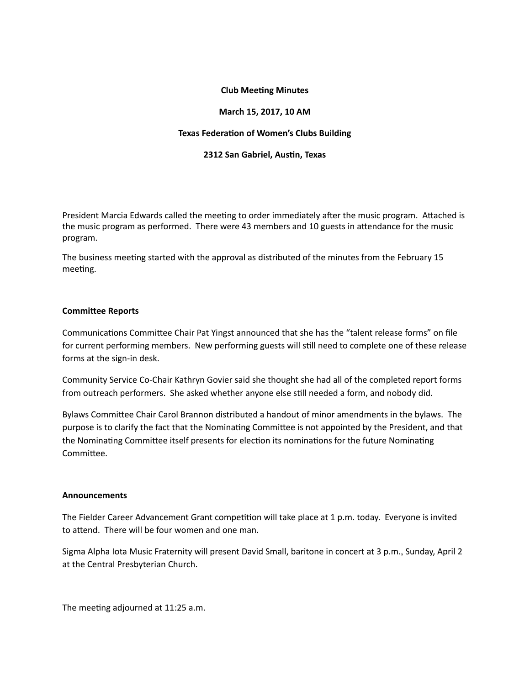# **Club Meeting Minutes**

## **March 15, 2017, 10 AM**

## **Texas Federation of Women's Clubs Building**

## **2312 San Gabriel, Austin, Texas**

President Marcia Edwards called the meeting to order immediately after the music program. Attached is the music program as performed. There were 43 members and 10 guests in attendance for the music program. 

The business meeting started with the approval as distributed of the minutes from the February 15 meeting.

## **Committee Reports**

Communications Committee Chair Pat Yingst announced that she has the "talent release forms" on file for current performing members. New performing guests will still need to complete one of these release forms at the sign-in desk.

Community Service Co-Chair Kathryn Govier said she thought she had all of the completed report forms from outreach performers. She asked whether anyone else still needed a form, and nobody did.

Bylaws Committee Chair Carol Brannon distributed a handout of minor amendments in the bylaws. The purpose is to clarify the fact that the Nominating Committee is not appointed by the President, and that the Nominating Committee itself presents for election its nominations for the future Nominating Committee.

## **Announcements**

The Fielder Career Advancement Grant competition will take place at 1 p.m. today. Everyone is invited to attend. There will be four women and one man.

Sigma Alpha lota Music Fraternity will present David Small, baritone in concert at 3 p.m., Sunday, April 2 at the Central Presbyterian Church.

The meeting adjourned at 11:25 a.m.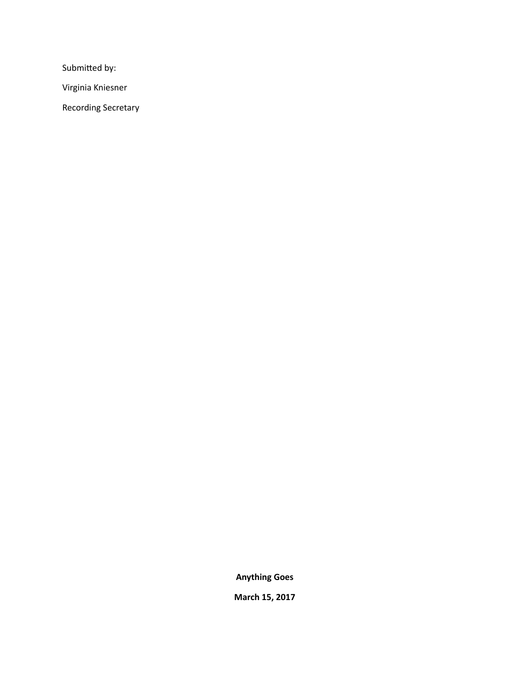Submitted by:

Virginia Kniesner 

Recording Secretary

**Anything Goes**

**March 15, 2017**